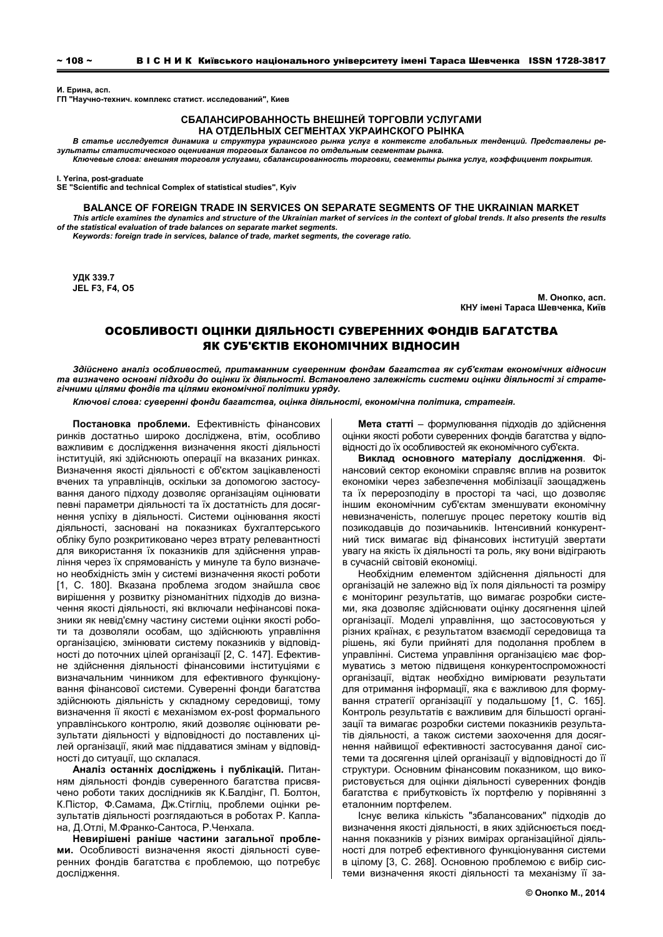**И.** Ерина, асп.

 $\Gamma$ П "Научно-технич, комплекс статист, исследований", Киев

## СБАЛАНСИРОВАННОСТЬ ВНЕШНЕЙ ТОРГОВЛИ УСЛУГАМИ **НА ОТДЕЛЬНЫХ СЕГМЕНТАХ УКРАИНСКОГО РЫНКА**

В статье исследуется динамика и структура украинского рынка услуг в контексте глобальных тенденций. Представлены ре*ɡɭɥɶɬɚɬɵ ɫɬɚɬɢɫɬɢɱɟɫɤɨɝɨ ɨɰɟɧɢɜɚɧɢɹ ɬɨɪɝɨɜɵɯ ɛɚɥɚɧɫɨɜ ɩɨ ɨɬɞɟɥɶɧɵɦ ɫɟɝɦɟɧɬɚɦ ɪɵɧɤɚ.* 

Ключевые слова: внешняя торговля услугами, сбалансированность торговки, сегменты рынка услуг, коэффициент покрытия.

**I. Yerina, post-graduate** 

**SE "Scientific and technical Complex of statistical studies", Kyiv** 

#### **BALANCE OF FOREIGN TRADE IN SERVICES ON SEPARATE SEGMENTS OF THE UKRAINIAN MARKET**

*This article examines the dynamics and structure of the Ukrainian market of services in the context of global trends. It also presents the results of the statistical evaluation of trade balances on separate market segments.* 

*Keywords: foreign trade in services, balance of trade, market segments, the coverage ratio.* 

**ɍȾɄ 339.7 JEL F3, F4, O5** 

> **М.** Онопко, асп. КНУ імені Тараса Шевченка, Київ

# ОСОБЛИВОСТІ ОЦІНКИ ДІЯЛЬНОСТІ СУВЕРЕННИХ ФОНДІВ БАГАТСТВА ЯК СУБ'ЄКТІВ ЕКОНОМІЧНИХ ВІДНОСИН

Здійснено аналіз особливостей, притаманним суверенним фондам багатства як суб'єктам економічних відносин та визначено основні підходи до оцінки їх діяльності. Встановлено залежність системи оцінки діяльності зі страте $e$ ічними цілями фондів та цілями економічної політики уряду.

Ключові слова: суверенні фонди багатства, оцінка діяльності, економічна політика, стратегія.

Постановка проблеми. Ефективність фінансових ринків достатньо широко досліджена, втім, особливо важливим є дослідження визначення якості діяльності інституцій, які здійснюють операції на вказаних ринках. Визначення якості діяльності є об'єктом зацікавленості вчених та управлінців, оскільки за допомогою застосування даного підходу дозволяє організаціям оцінювати певні параметри діяльності та їх достатність для досягнення успіху в діяльності. Системи оцінювання якості діяльності, засновані на показниках бухгалтерського обліку було розкритиковано через втрату релевантності для використання їх показників для здійснення управління через їх спрямованість у минуле та було визначено необхідність змін у системі визначення якості роботи [1, С. 180]. Вказана проблема згодом знайшла своє вирішення у розвитку різноманітних підходів до визначення якості діяльності, які включали нефінансові показники як невід'ємну частину системи оцінки якості роботи та дозволяли особам, що здійснюють управління організацією, змінювати систему показників у відповідності до поточних цілей організації [2, С. 147]. Ефективне здійснення діяльності фінансовими інституціями є визначальним чинником для ефективного функціонування фінансової системи. Суверенні фонди багатства здійснюють діяльність у складному середовищі, тому визначення її якості є механізмом ex-post формального управлінського контролю, який дозволяє оцінювати результати діяльності у відповідності до поставлених цілей організації, який має піддаватися змінам у відповідності до ситуації, що склалася.

Аналіз останніх досліджень і публікацій. Питанням діяльності фондів суверенного багатства присвячено роботи таких дослідників як К.Балдінг, П. Болтон, К. Пістор, Ф. Самама, Дж. Стігліц, проблеми оцінки результатів діяльності розглядаються в роботах Р. Каплана, Д.Отлі, М.Франко-Сантоса, Р.Ченхала.

Невирішені раніше частини загальної проблеми. Особливості визначення якості діяльності суверенних фондів багатства є проблемою, що потребує дослідження.

Мета статті – формулювання підходів до здійснення оцінки якості роботи суверенних фондів багатства у відповідності до їх особливостей як економічного суб'єкта.

Виклад основного матеріалу дослідження. Фінансовий сектор економіки справляє вплив на розвиток економіки через забезпечення мобілізації заощаджень та їх перерозподілу в просторі та часі, що дозволяє іншим економічним суб'єктам зменшувати економічну невизначеність, полегшує процес перетоку коштів від позикодавців до позичаьників. Інтенсивний конкурентний тиск вимагає від фінансових інституцій звертати увагу на якість їх діяльності та роль, яку вони відіграють **B CVYACHIN CRITOBIN AKOHOMILLE** 

Необхідним елементом здійснення діяльності для організацій не залежно від їх поля діяльності та розміру є моніторинг результатів, що вимагає розробки системи, яка дозволяє здійснювати оцінку досягнення цілей організації. Моделі управління, що застосовуються у різних країнах, є результатом взаємодії середовища та рішень, які були прийняті для подолання проблем в управлінні. Система управління організацією має формуватись з метою підвищеня конкурентоспроможності організації, відтак необхідно вимірювати результати для отримання інформації, яка є важливою для формування стратегії організаціїї у подальшому [1, С. 165]. Контроль результатів є важливим для більшості організації та вимагає розробки системи показників результатів діяльності, а також системи заохочення для досягнення найвищої ефективності застосування даної системи та досягення цілей організації у відповідності до її структури. Основним фінансовим показником, що використовується для оцінки діяльності суверенних фондів багатства є прибутковість їх портфелю у порівнянні з еталонним портфелем.

Існує велика кількість "збалансованих" підходів до визначення якості діяльності, в яких здійснюється поєднання показників у різних вимірах організаційної діяльності для потреб ефективного функціонування системи в цілому [3, С. 268]. Основною проблемою є вибір системи визначення якості діяльності та механізму її за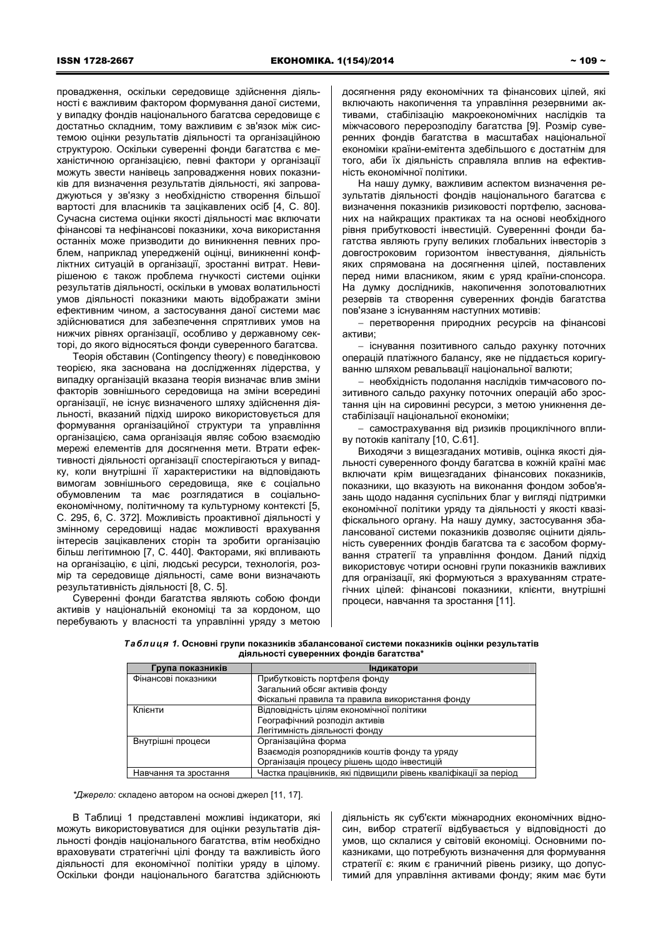провадження, оскільки середовище здійснення діяльності є важливим фактором формування даної системи, у випадку фондів національного багатсва середовище є достатньо складним, тому важливим є зв'язок між системою оцінки результатів діяльності та організаційною структурою. Оскільки суверенні фонди багатства є механістичною організацією, певні фактори у організації можуть звести нанівець запровадження нових показників для визначення результатів діяльності, які запроваджуються у зв'язку з необхідністю створення більшої вартості для власників та зацікавлених осіб <sup>[4</sup>, С, 80]. Сучасна система оцінки якості діяльності має включати фінансові та нефінансові показники, хоча використання останніх може призводити до виникнення певних проблем, наприклад упередженій оцінці, виникненні конфліктних ситуацій в організації, зростанні витрат. Невирішеною є також проблема гнучкості системи оцінки результатів діяльності, оскільки в умовах волатильності умов діяльності показники мають відображати зміни ефективним чином, а застосування даної системи має здійснюватися для забезпечення спрятливих умов на нижчих рівнях організації, особливо у державному секторі, до якого відносяться фонди суверенного багатсва.

Теорія обставин (Contingency theory) є поведінковою теорією, яка заснована на дослідженнях лідерства, у випадку організацій вказана теорія визначає влив зміни факторів зовнішнього середовища на зміни всередині організації, не існує визначеного шляху здійснення діяльності, вказаний підхід широко використовується для формування організаційної структури та управління організацією, сама організація являє собою взаємодію мережі елементів для досягнення мети. Втрати ефективності діяльності організації спостерігаються у випадку, коли внутрішні її характеристики на відповідають вимогам зовнішнього середовища, яке є соціально обумовленим та має розглядатися в соціальноекономічному, політичному та культурному контексті [5, С. 295, 6, С. 372]. Можливість проактивної діяльності у змінному середовищі надає можливості врахування iнтересiв зацiкавлених сторiн та зробити органiзацiю більш легітимною [7, С. 440]. Факторами, які впливають на організацію, є цілі, людські ресурси, технологія, розмір та середовище діяльності, саме вони визначають результативність діяльності [8, С. 5].

Суверенні фонди багатства являють собою фонди активів у національній економіці та за кордоном, що перебувають у власності та управлінні уряду з метою досягнення ряду економічних та фінансових цілей, які включають накопичення та управління резервними активами, стабілізацію макроекономічних наслідків та міжчасового перерозподілу багатства [9]. Розмір суверенних фондів багатства в масштабах національної економіки країни-емітента здебільшого є достатнім для того, аби їх діяльність справляла вплив на ефективність економічної політики.

На нашу думку, важливим аспектом визначення результатів діяльності фондів національного багатсва є визначення показників ризиковості портфелю, заснованих на найкращих практиках та на основі необхідного рівня прибутковості інвестицій. Сувереннні фонди багатства являють групу великих глобальних інвесторів з довгостроковим горизонтом інвестування, діяльність яких спрямована на досягнення цілей, поставлених перед ними власником, яким є уряд країни-спонсора. На думку дослідників, накопичення золотовалютних резервів та створення суверенних фондів багатства пов'язане з існуванням наступних мотивів:

- перетворення природних ресурсів на фінансові активи;

- існування позитивного сальдо рахунку поточних операцій платіжного балансу, яке не піддається коригуванню шляхом ревальвації національної валюти;

– необхідність подолання наслідків тимчасового позитивного сальдо рахунку поточних операцій або зростання цін на сировинні ресурси, з метою уникнення дестабілізації національної економіки;

- самострахування від ризиків проциклічного впливу потоків капіталу [10, С.61].

Виходячи з вищезгаданих мотивів, оцінка якості діяльності суверенного фонду багатсва в кожній країні має включати крім вищезгаданих фінансових показників, показники, що вказують на виконання фондом зобов'язань щодо надання суспільних благ у вигляді підтримки економічної політики уряду та діяльності у якості квазіфіскального органу. На нашу думку, застосування збаиансованої системи показників дозволяє оцінити діяльність суверенних фондів багатсва та є засобом формування стратегії та управління фондом. Даний підхід використовує чотири основні групи показників важливих для огранізації, які формуються з врахуванням стратегічних цілей: фінансові показники, клієнти, внутрішні процеси, навчання та зростання [11].

| Таблиця 1. Основні групи показників збалансованої системи показників оцінки результатів |
|-----------------------------------------------------------------------------------------|
| діяльності суверенних фондів багатства*                                                 |

| Група показників      | Індикатори                                                      |
|-----------------------|-----------------------------------------------------------------|
| Фінансові показники   | Прибутковість портфеля фонду                                    |
|                       | Загальний обсяг активів фонду                                   |
|                       | Фіскальні правила та правила використання фонду                 |
| Клієнти               | Відповідність цілям економічної політики                        |
|                       | Географічний розподіл активів                                   |
|                       | Легітимність діяльності фонду                                   |
| Внутрішні процеси     | Організаційна форма                                             |
|                       | Взаємодія розпорядників коштів фонду та уряду                   |
|                       | Організація процесу рішень щодо інвестицій                      |
| Навчання та зростання | Частка працівників, які підвищили рівень кваліфікації за період |

*\*Ⱦɠɟɪɟɥɨ:* ɫɤɥɚɞɟɧɨ ɚɜɬɨɪɨɦ ɧɚ ɨɫɧɨɜɿ ɞɠɟɪɟɥ [11, 17].

В Таблиці 1 представлені можливі індикатори, які можуть використовуватися для оцінки результатів діяльності фондів національного багатства, втім необхідно враховувати стратегічні цілі фонду та важливість його діяльності для економічної політіки уряду в цілому. Оскільки фонди національного багатства здійснюють

діяльність як суб'єкти міжнародних економічних відносин, вибор стратегії відбувається у відповідності до умов, що склалися у світовій економіці. Основними показниками, що потребують визначення для формування стратегії є: яким є граничний рівень ризику, що допустимий для управління активами фонду; яким має бути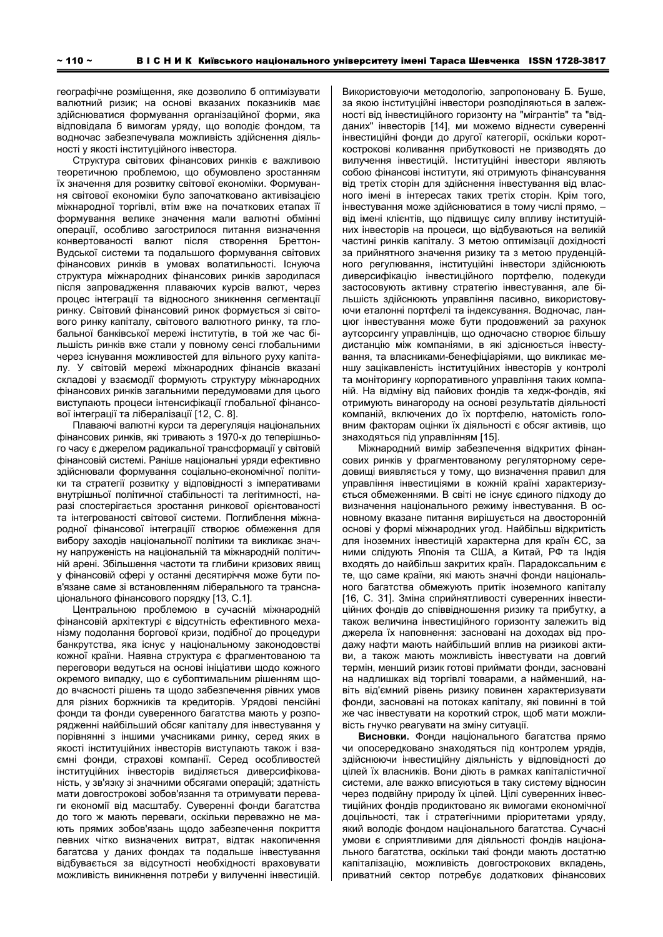географічне розміщення, яке дозволило б оптимізувати валютний ризик; на основі вказаних показників має здійснюватися формування організаційної форми, яка відповідала б вимогам уряду, що володіє фондом, та водночас забезпечувала можливість здійснення діяльності у якості інституційного інвестора.

Структура світових фінансових ринків є важливою теоретичною проблемою, що обумовлено зростанням їх значення для розвитку світової економіки. Формування світової економіки було започатковано активізацією міжнародної торгівлі, втім вже на початкових етапах її формування велике значення мали валютні обмінні операції, особливо загострилося питання визначення конвертованості валют після створення Бреттон-Вудської системи та подальшого формування світових фінансових ринків в умовах волатильності. Існуюча структура міжнародних фінансових ринків зародилася після запровадження плаваючих курсів валют, через процес інтеграції та відносного зникнення сегментації ринку. Світовий фінансовий ринок формується зі світового ринку капіталу, світового валютного ринку, та глобальної банківської мережі інститутів, в той же час більшість ринків вже стали у повному сенсі глобальними через існування можливостей для вільного руху капіталу. У світовій мережі міжнародних фінансів вказані складові у взаємодії формують структуру міжнародних фінансових ринків загальними передумовами для цього виступають процеси інтенсифікації глобальної фінансової інтеграції та лібералізації [12, С. 8].

Плаваючі валютні курси та дерегуляція національних фінансових ринків, які тривають з 1970-х до теперішнього часу є джерелом радикальної трансформації у світовій фінансовій системі. Раніше національні уряди ефективно здійснювали формування соціально-економічної політики та стратегії розвитку у відповідності з імперативами внутрішньої політичної стабільності та легітимності, наразі спостерігається зростання ринкової орієнтованості та інтегрованості світової системи. Поглиблення міжнародної фінансової інтеграціїї створює обмеження для вибору заходів національноїї політики та викликає значну напруженість на національній та міжнародній політичній арені. Збільшення частоти та глибини кризових явищ у фінансовій сфері у останні десятиріччя може бути пов'язане саме зі встановленням ліберального та транснаціонального фінансового порядку [13, С.1].

Центральною проблемою в сучасній міжнародній фінансовій архітектурі є відсутність ефективного механізму подолання боргової кризи, подібної до процедури банкрутства, яка існує у національному законодовстві кожної країни. Наявна структура є фрагментованою та переговори ведуться на основі ініціативи щодо кожного окремого випадку, що є субоптимальним рішенням щодо вчасності рішень та щодо забезпечення рівних умов для різних боржників та кредиторів. Урядові пенсійні фонди та фонди суверенного багатства мають у розпорядженні найбільший обсяг капіталу для інвестування у порівнянні з іншими учасниками ринку, серед яких в якості інституційних інвесторів виступають також і взаємні фонди, страхові компанії. Серед особливостей інституційних інвесторів виділяється диверсифікованість, у зв'язку зі значними обсягами операцій; здатність мати довгострокові зобов'язання та отримувати переваги економії від масштабу. Суверенні фонди багатства до того ж мають переваги, оскільки переважно не мають прямих зобов'язань щодо забезпечення покриття певних чітко визначених витрат, відтак накопичення багатсва у даних фондах та подальше інвестування відбувається за відсутності необхідності враховувати можливість виникнення потреби у вилученні інвестицій.

Використовуючи методологію, запропоновану Б. Буше, за якою інституційні інвестори розподіляються в залежності від інвестиційного горизонту на "мігрантів" та "відданих" інвесторів [14], ми можемо віднести суверенні інвестиційні фонди до другої категорії, оскільки короткострокові коливання прибутковості не призводять до вилучення інвестицій. Інституційні інвестори являють собою фінансові інститути, які отримують фінансування від третіх сторін для здійснення інвестування від власного імені в інтересах таких третіх сторін. Крім того, інвестування може здійснюватися в тому числі прямо, від імені клієнтів, що підвищує силу впливу інституційних інвесторів на процеси, що відбуваються на великій частині ринків капіталу. З метою оптимізації дохідності за прийнятного значення ризику та з метою пруденційного регулювання, інституційні інвестори здійснюють диверсифікацію інвестиційного портфелю, подекуди застосовують активну стратегію інвестування, але більшість здійснюють управління пасивно, використовуючи еталонні портфелі та індексування. Водночас, ланцюг інвестування може бути продовжений за рахунок аутсорсингу управлінців, що одночасно створює більшу дистанцію між компаніями, в які здіснюється інвестування, та власниками-бенефіціаріями, що викликає меншу зацікавленість інституційних інвесторів у контролі та моніторингу корпоративного управління таких компаній. На відміну від пайових фондів та хедж-фондів, які отримують винагороду на основі результатів діяльності компаній, включених до їх портфелю, натомість головним факторам оцінки їх діяльності є обсяг активів, що знаходяться під управлінням [15].

Міжнародний вимір забезпечення відкритих фінансових ринків у фрагментованому регуляторному середовищі виявляється у тому, що визначення правил для VПОАВЛІННЯ ІНВЕСТИЦІЯМИ В КОЖНІЙ КОА НІ ХАОАКТЕРИЗУється обмеженнями. В світі не існує єдиного підходу до визначення національного режиму інвестування. В основному вказане питання вирішується на двосторонній основі у формі міжнародних угод. Найбільш відкритість для іноземних інвестицій характерна для країн ЄС, за ними слідують Японія та США, а Китай, РФ та Індія входять до найбільш закритих країн. Парадоксальним є те, що саме країни, які мають значні фонди національного багатства обмежують притік іноземного капіталу [16, С. 31]. Зміна сприйнятливості суверенних інвестиційних фондів до співвідношення ризику та прибутку, а також величина інвестиційного горизонту залежить від джерела їх наповнення: засновані на доходах від продажу нафти мають найбільший вплив на ризикові активи, а також мають можливість інвестувати на довгий термін, менший ризик готові приймати фонди, засновані на надлишках від торгівлі товарами, а найменший, навіть від'ємний рівень ризику повинен характеризувати фонди, засновані на потоках капіталу, які повинні в той же час інвестувати на короткий строк, щоб мати можливість гнучко реагувати на зміну ситуації.

Висновки. Фонди національного багатства прямо чи опосередковано знаходяться під контролем урядів, здійснюючи інвестиційну діяльність у відповідності до цілей їх власників. Вони діють в рамках капіталістичної системи, але важко вписуються в таку систему відносин через подвійну природу їх цілей. Цілі суверенних інвестиційних фондів продиктовано як вимогами економічної доцільності, так і стратегічними пріоритетами уряду, який володіє фондом національного багатства. Сучасні умови є сприятливими для діяльності фондів національного багатства, оскільки такі фонди мають достатню капіталізацію, можливість довгострокових вкладень, приватний сектор потребує додаткових фінансових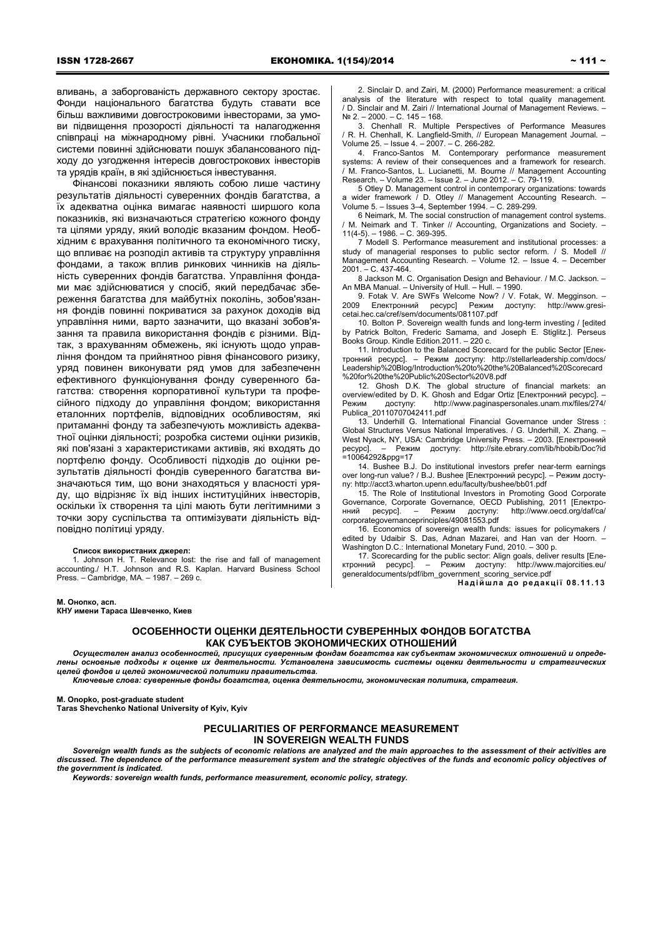вливань, а заборгованість державного сектору зростає. Фонди національного багатства будуть ставати все більш важливими довгостроковими інвесторами, за умови підвищення прозорості діяльності та налагодження співпраці на міжнародному рівні. Учасники глобальної системи повинні здійснювати пошук збалансованого підходу до узгодження інтересів довгострокових інвесторів та урядів країн, в які здійснюється інвестування.

Фінансові показники являють собою лише частину результатів діяльності суверенних фондів багатства, а їх адекватна оцінка вимагає наявності ширшого кола показників, які визначаються стратегією кожного фонду та цілями уряду, який володіє вказаним фондом. Необхілним є врахування попітичного та економічного тиску, що впливає на розподіл активів та структуру управління фондами, а також вплив ринкових чинників на діяльність суверенних фондів багатства. Управління фондами має здійснюватися у спосіб, який передбачає збереження багатства для майбутніх поколінь, зобов'язання фондів повинні покриватися за рахунок доходів від управління ними, варто зазначити, що вказані зобов'язання та правила використання фондів є різними. Відтак, з врахуванням обмежень, які існують щодо управління фондом та прийнятноо рівня фінансового ризику, уряд повинен виконувати ряд умов для забезпеченн ефективного функціонування фонду суверенного багатства: створення корпоративної культури та професійного підходу до управління фондом; використання еталонних портфелів, відповідних особливостям, які притаманні фонду та забезпечують можливість адекватної оцінки діяльності; розробка системи оцінки ризиків, які пов'язані з характеристиками активів, які входять до портфелю фонду. Особливості підходів до оцінки результатів діяльності фондів суверенного багатства визначаються тим, що вони знаходяться у власності уряду, що відрізняє їх від інших інституційних інвесторів, оскільки їх створення та цілі мають бути легітимними з точки зору суспільства та оптимізувати діяльність відповідно політиці уряду.

#### Список використаних джерел:

1. Johnson H. T. Relevance lost: the rise and fall of management accounting./ H.T. Johnson and R.S. Kaplan. Harvard Business School Press. – Cambridge, MA. – 1987. – 269 c.

2. Sinclair D. and Zairi, M. (2000) Performance measurement: a critical analysis of the literature with respect to total quality management. / D. Sinclair and M. Zairi // International Journal of Management Reviews. – Nº 2. – 2000. – C. 145 – 168.

3. Chenhall R. Multiple Perspectives of Performance Measures R. H. Chenhall, K. Langfield-Smith, // European Management Journal. -Volume 25. – Issue 4. – 2007. – C. 266-282.

4. Franco-Santos M. Contemporary performance measurement systems: A review of their consequences and a framework for research. M. Franco-Santos, L. Lucianetti, M. Bourne // Management Accounting Research. – Volume 23. – Issue 2. – June 2012. – C. 79-119.

5 Otley D. Management control in contemporary organizations: towards a wider framework  $\tilde{I}$  D. Otley // Management Accounting Research. -Volume 5. – Issues 3–4, September 1994. – C. 289-299.

6 Neimark, M. The social construction of management control systems. M. Neimark and T. Tinker // Accounting, Organizations and Society. -11(4-5). – 1986. – C. 369-395.

7 Modell S. Performance measurement and institutional processes: a study of managerial responses to public sector reform. / S. Modell // Management Accounting Research. – Volume 12. – Issue 4. – December  $2001 - C. 437 - 464$ 

8 Jackson M. C. Organisation Design and Behaviour. / M.C. Jackson. – An MBA Manual. – University of Hull. – Hull. – 1990.

9. Fotak V. Are SWFs Welcome Now? / V. Fotak, W. Megginson. – pecypc] Режим доступу: http://www.gresicetai.hec.ca/cref/sem/documents/081107.pdf

10. Bolton P. Sovereign wealth funds and long-term investing / [edited by Patrick Bolton, Frederic Samama, and Joseph E. Stiglitz.]. Perseus Books Group. Kindle Edition.2011. – 220 c.

11. Introduction to the Balanced Scorecard for the public Sector [Επεκтронний ресурс]. – Режим доступу: http://stellarleadership.com/docs/ Leadership%20Blog/Introduction%20to%20the%20Balanced%20Scorecard %20for%20the%20Public%20Sector%20V8.pdf

12. Ghosh D.K. The global structure of financial markets: an overview/edited by D. K. Ghosh and Edgar Ortiz [Електронний ресурс]. Режим доступу: http://www.paginaspersonales.unam.mx/files/274/ Publica\_20110707042411.pdf

13. Underhill G. International Financial Governance under Stress : Global Structures Versus National Imperatives. / G. Underhill, X. Zhang. – West Nyack, NY, USA: Cambridge University Press. - 2003. [Електронний pecypc]. – Режим доступу: http://site.ebrary.com/lib/hbobib/Doc?id =10064292&ppg=17

14. Bushee B.J. Do institutional investors prefer near-term earnings over long-run value? / В.Ј. Bushee [Електронний ресурс]. – Режим достуny: http://acct3.wharton.upenn.edu/faculty/bushee/bb01.pdf

15. The Role of Institutional Investors in Promoting Good Corporate Governance, Corporate Governance, OECD Publishing, 2011 [Електро-<br>нний ресурс]. - Режим доступу: http://www.oecd.org/daf/ca нний ресурс]. - Режим доступу: http://www.oecd.org/daf/ca/ corporategovernanceprinciples/49081553.pdf

16. Economics of sovereign wealth funds: issues for policymakers / edited by Udaibir S. Das, Adnan Mazarei, and Han van der Hoorn. – Washington D.C.: International Monetary Fund, 2010. - 300 p.

17. Scorecarding for the public sector: Align goals, deliver results [Eneктронний ресурс]. – Режим доступу: http://www.majorcities.eu/ generaldocuments/pdf/ibm\_government\_scoring\_service.pdf

Надійшла до редакції 08.11.13

#### **М.** Онопко, асп.

КНУ имени Тараса Шевченко, Киев

### **ɈɋɈȻȿɇɇɈɋɌɂ ɈɐȿɇɄɂ ȾȿəɌȿɅɖɇɈɋɌɂ ɋɍȼȿɊȿɇɇɕɏ ɎɈɇȾɈȼ ȻɈȽȺɌɋɌȼȺ**  КАК СУБЪЕКТОВ ЭКОНОМИЧЕСКИХ ОТНОШЕНИЙ

*Ɉɫɭɳɟɫɬɜɥɟɧ ɚɧɚɥɢɡ ɨɫɨɛɟɧɧɨɫɬɟɣ, ɩɪɢɫɭɳɢɯ ɫɭɜɟɪɟɧɧɵɦ ɮɨɧɞɚɦ ɛɨɝɚɬɫɬɜɚ ɤɚɤ ɫɭɛɴɟɤɬɚɦ ɷɤɨɧɨɦɢɱɟɫɤɢɯ ɨɬɧɨɲɟɧɢɣ ɢ ɨɩɪɟɞɟ*лены основные подходы к оценке их деятельности. Установлена зависимость системы оценки деятельности и стратегических **иелей фондов и целей экономической политики правительства.** 

Ключевые слова: суверенные фонды богатства, оценка деятельности, экономическая политика, стратегия.

#### **M. Onopko, post-graduate student**

**Taras Shevchenko National University of Kyiv, Kyiv** 

## **PECULIARITIES OF PERFORMANCE MEASUREMENT IN SOVEREIGN WEALTH FUNDS**

*Sovereign wealth funds as the subjects of economic relations are analyzed and the main approaches to the assessment of their activities are*  discussed. The dependence of the performance measurement system and the strategic objectives of the funds and economic policy objectives of *the government is indicated.* 

*Keywords: sovereign wealth funds, performance measurement, economic policy, strategy.*